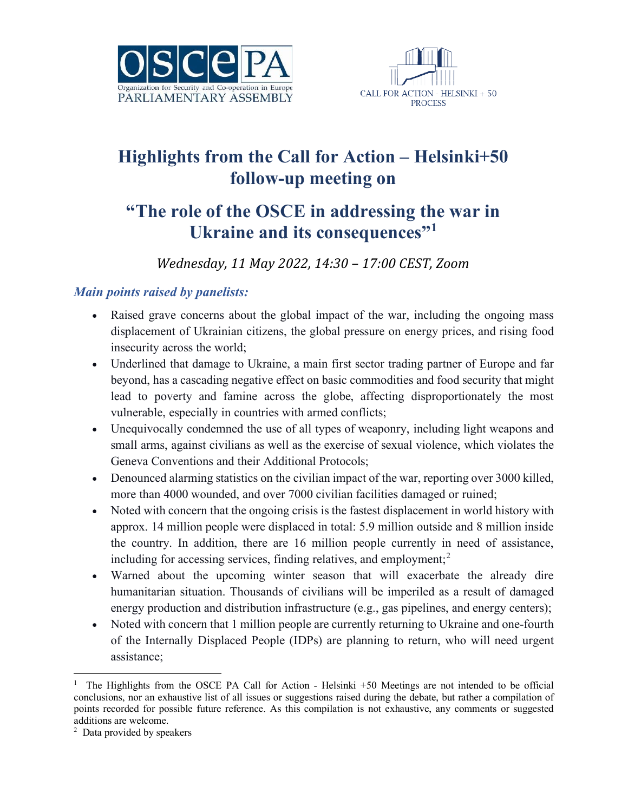



# **Highlights from the Call for Action – Helsinki+50 follow-up meeting on**

## **"The role of the OSCE in addressing the war in Ukraine and its consequences"[1](#page-0-0)**

*Wednesday, 11 May 2022, 14:30 – 17:00 CEST, Zoom*

#### *Main points raised by panelists:*

- Raised grave concerns about the global impact of the war, including the ongoing mass displacement of Ukrainian citizens, the global pressure on energy prices, and rising food insecurity across the world;
- Underlined that damage to Ukraine, a main first sector trading partner of Europe and far beyond, has a cascading negative effect on basic commodities and food security that might lead to poverty and famine across the globe, affecting disproportionately the most vulnerable, especially in countries with armed conflicts;
- Unequivocally condemned the use of all types of weaponry, including light weapons and small arms, against civilians as well as the exercise of sexual violence, which violates the Geneva Conventions and their Additional Protocols;
- Denounced alarming statistics on the civilian impact of the war, reporting over 3000 killed, more than 4000 wounded, and over 7000 civilian facilities damaged or ruined;
- Noted with concern that the ongoing crisis is the fastest displacement in world history with approx. 14 million people were displaced in total: 5.9 million outside and 8 million inside the country. In addition, there are 16 million people currently in need of assistance, including for accessing services, finding relatives, and employment; $<sup>2</sup>$  $<sup>2</sup>$  $<sup>2</sup>$ </sup>
- Warned about the upcoming winter season that will exacerbate the already dire humanitarian situation. Thousands of civilians will be imperiled as a result of damaged energy production and distribution infrastructure (e.g., gas pipelines, and energy centers);
- Noted with concern that 1 million people are currently returning to Ukraine and one-fourth of the Internally Displaced People (IDPs) are planning to return, who will need urgent assistance;

<span id="page-0-0"></span><sup>&</sup>lt;sup>1</sup> The Highlights from the OSCE PA Call for Action - Helsinki +50 Meetings are not intended to be official conclusions, nor an exhaustive list of all issues or suggestions raised during the debate, but rather a compilation of points recorded for possible future reference. As this compilation is not exhaustive, any comments or suggested additions are welcome.

<span id="page-0-1"></span><sup>2</sup> Data provided by speakers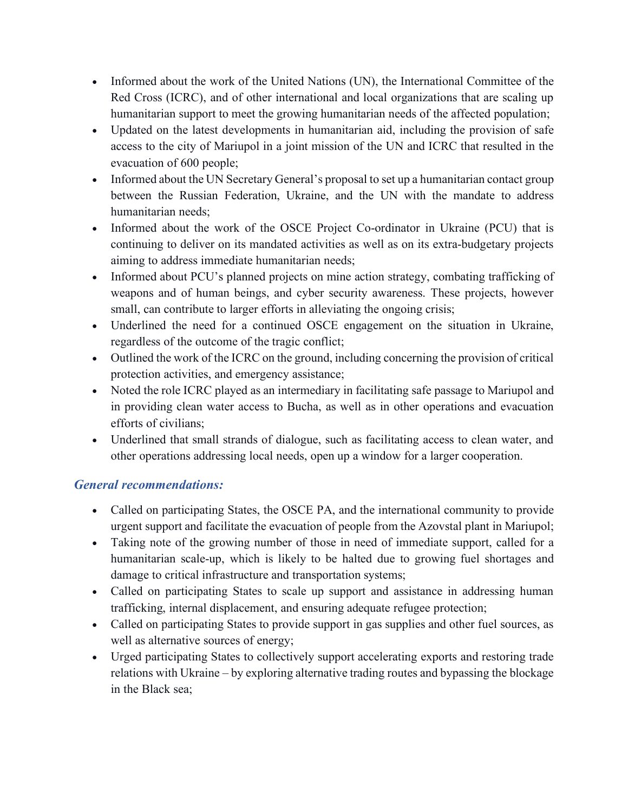- Informed about the work of the United Nations (UN), the International Committee of the Red Cross (ICRC), and of other international and local organizations that are scaling up humanitarian support to meet the growing humanitarian needs of the affected population;
- Updated on the latest developments in humanitarian aid, including the provision of safe access to the city of Mariupol in a joint mission of the UN and ICRC that resulted in the evacuation of 600 people;
- Informed about the UN Secretary General's proposal to set up a humanitarian contact group between the Russian Federation, Ukraine, and the UN with the mandate to address humanitarian needs;
- Informed about the work of the OSCE Project Co-ordinator in Ukraine (PCU) that is continuing to deliver on its mandated activities as well as on its extra-budgetary projects aiming to address immediate humanitarian needs;
- Informed about PCU's planned projects on mine action strategy, combating trafficking of weapons and of human beings, and cyber security awareness. These projects, however small, can contribute to larger efforts in alleviating the ongoing crisis;
- Underlined the need for a continued OSCE engagement on the situation in Ukraine, regardless of the outcome of the tragic conflict;
- Outlined the work of the ICRC on the ground, including concerning the provision of critical protection activities, and emergency assistance;
- Noted the role ICRC played as an intermediary in facilitating safe passage to Mariupol and in providing clean water access to Bucha, as well as in other operations and evacuation efforts of civilians;
- Underlined that small strands of dialogue, such as facilitating access to clean water, and other operations addressing local needs, open up a window for a larger cooperation.

#### *General recommendations:*

- Called on participating States, the OSCE PA, and the international community to provide urgent support and facilitate the evacuation of people from the Azovstal plant in Mariupol;
- Taking note of the growing number of those in need of immediate support, called for a humanitarian scale-up, which is likely to be halted due to growing fuel shortages and damage to critical infrastructure and transportation systems;
- Called on participating States to scale up support and assistance in addressing human trafficking, internal displacement, and ensuring adequate refugee protection;
- Called on participating States to provide support in gas supplies and other fuel sources, as well as alternative sources of energy;
- Urged participating States to collectively support accelerating exports and restoring trade relations with Ukraine – by exploring alternative trading routes and bypassing the blockage in the Black sea;